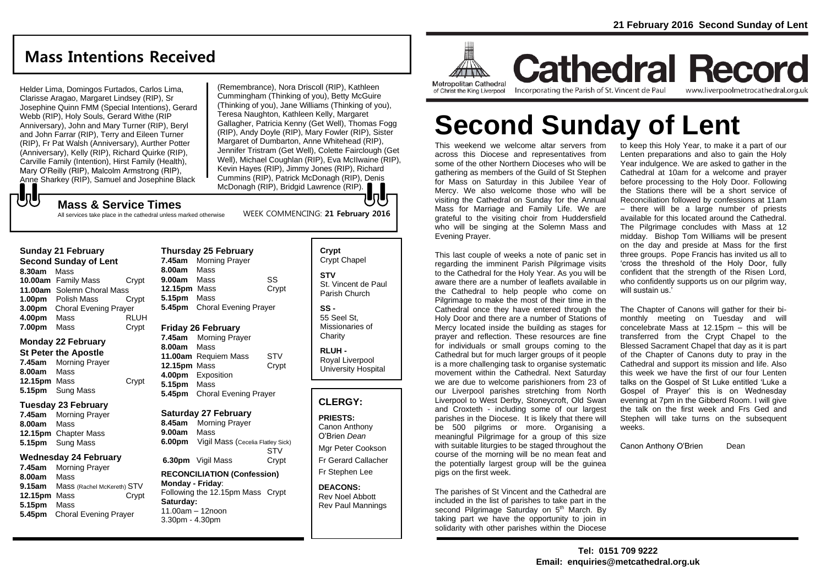### **Mass Intentions Received**

Helder Lima, Domingos Furtados, Carlos Lima, Clarisse Aragao, Margaret Lindsey (RIP), Sr Josephine Quinn FMM (Special Intentions), Gerard Webb (RIP), Holy Souls, Gerard Withe (RIP Anniversary), John and Mary Turner (RIP), Beryl and John Farrar (RIP), Terry and Eileen Turner (RIP), Fr Pat Walsh (Anniversary), Aurther Potter (Anniversary), Kelly (RIP), Richard Quirke (RIP), Carville Family (Intention), Hirst Family (Health), Mary O'Reilly (RIP), Malcolm Armstrong (RIP), Anne Sharkey (RIP), Samuel and Josephine Black

(Remembrance), Nora Driscoll (RIP), Kathleen Cummingham (Thinking of you), Betty McGuire (Thinking of you), Jane Williams (Thinking of you), Teresa Naughton, Kathleen Kelly, Margaret Gallagher, Patricia Kenny (Get Well), Thomas Fogg (RIP), Andy Doyle (RIP), Mary Fowler (RIP), Sister Margaret of Dumbarton, Anne Whitehead (RIP), Jennifer Tristram (Get Well), Colette Fairclough (Get Well), Michael Coughlan (RIP), Eva McIIwaine (RIP), Kevin Hayes (RIP), Jimmy Jones (RIP), Richard Cummins (RIP), Patrick McDonagh (RIP), Denis McDonagh (RIP), Bridgid Lawrence (RIP).

WEEK COMMENCING: **21 February 2016**

### **Mass & Service Times**

All services take place in the cathedral unless marked otherwise

| <b>Sunday 21 February</b>    |                              |             |  |
|------------------------------|------------------------------|-------------|--|
| <b>Second Sunday of Lent</b> |                              |             |  |
| 8.30am                       | Mass                         |             |  |
|                              | 10.00am Family Mass          | Crypt       |  |
| 11.00am                      | Solemn Choral Mass           |             |  |
| 1.00 <sub>pm</sub>           | Polish Mass                  | Crypt       |  |
| 3.00 <sub>pm</sub>           | <b>Choral Evening Prayer</b> |             |  |
| 4.00pm                       | Mass                         | <b>RLUH</b> |  |
| 7.00pm                       | Mass                         | Crypt       |  |

#### **Monday 22 February**

もし

**St Peter the Apostle 7.45am** Morning Prayer **8.00am** Mass **12.15pm** Mass Crypt **5.15pm** Sung Mass

#### **Tuesday 23 February**

**7.45am** Morning Prayer **8.00am** Mass **12.15pm** Chapter Mass **5.15pm** Sung Mass

### **Wednesday 24 February**

**7.45am** Morning Prayer **8.00am** Mass **9.15am** Mass (Rachel McKereth) STV **12.15pm** Mass Crypt **5.15pm** Mass **5.45pm** Choral Evening Prayer

| Thursday 25 February |                              |       |  |  |
|----------------------|------------------------------|-------|--|--|
| 7.45am               | <b>Morning Prayer</b>        |       |  |  |
| 8.00am Mass          |                              |       |  |  |
| 9.00am               | Mass                         | SS    |  |  |
| 12.15pm              | Mass                         | Crypt |  |  |
| 5.15pm               | Mass                         |       |  |  |
|                      | 5.45pm Choral Evening Prayer |       |  |  |
|                      |                              |       |  |  |

### **Friday 26 February**

**7.45am** Morning Prayer **8.00am** Mass **11.00am** Requiem Mass STV **12.15pm** Mass Crypt **4.00pm** Exposition **5.15pm** Mass **5.45pm** Choral Evening Prayer

#### **Saturday 27 February**

**8.45am** Morning Prayer **9.00am** Mass **6.00pm** Vigil Mass (Cecelia Flatley Sick) **STV 6.30pm** Vigil Mass Crypt

#### **RECONCILIATION (Confession) Monday - Friday**: Following the 12.15pm Mass Crypt **Saturday:** 11.00am – 12noon 3.30pm - 4.30pm

| Crypt<br><b>Crypt Chapel</b>                      |
|---------------------------------------------------|
| STV<br>St. Vincent de Paul<br>Parish Church       |
| SS -<br>55 Seel St.<br>Missionaries of<br>Charity |
| RLUH -                                            |

Royal Liverpool University Hospital

### **CLERGY:**

**PRIESTS:** Canon Anthony O'Brien *Dean* Mgr Peter Cookson Fr Gerard Callacher Fr Stephen Lee

**DEACONS:** Rev Noel Abbott Rev Paul Mannings



**Cathedral Record** Incorporating the Parish of St. Vincent de Paul www.liverpoolmetrocathedral.org.uk

# **Second Sunday of Lent**

This weekend we welcome altar servers from across this Diocese and representatives from some of the other Northern Dioceses who will be gathering as members of the Guild of St Stephen for Mass on Saturday in this Jubilee Year of Mercy. We also welcome those who will be visiting the Cathedral on Sunday for the Annual Mass for Marriage and Family Life. We are grateful to the visiting choir from Huddersfield who will be singing at the Solemn Mass and Evening Prayer.

This last couple of weeks a note of panic set in regarding the imminent Parish Pilgrimage visits to the Cathedral for the Holy Year. As you will be aware there are a number of leaflets available in the Cathedral to help people who come on Pilgrimage to make the most of their time in the Cathedral once they have entered through the Holy Door and there are a number of Stations of Mercy located inside the building as stages for prayer and reflection. These resources are fine for individuals or small groups coming to the Cathedral but for much larger groups of it people is a more challenging task to organise systematic movement within the Cathedral. Next Saturday we are due to welcome parishioners from 23 of our Liverpool parishes stretching from North Liverpool to West Derby, Stoneycroft, Old Swan and Croxteth - including some of our largest parishes in the Diocese. It is likely that there will be 500 pilgrims or more. Organising a meaningful Pilgrimage for a group of this size with suitable liturgies to be staged throughout the course of the morning will be no mean feat and the potentially largest group will be the guinea pigs on the first week.

The parishes of St Vincent and the Cathedral are included in the list of parishes to take part in the second Pilgrimage Saturday on 5<sup>th</sup> March. By taking part we have the opportunity to join in solidarity with other parishes within the Diocese

to keep this Holy Year, to make it a part of our Lenten preparations and also to gain the Holy Year indulgence. We are asked to gather in the Cathedral at 10am for a welcome and prayer before processing to the Holy Door. Following the Stations there will be a short service of Reconciliation followed by confessions at 11am – there will be a large number of priests available for this located around the Cathedral. The Pilgrimage concludes with Mass at 12 midday. Bishop Tom Williams will be present on the day and preside at Mass for the first three groups. Pope Francis has invited us all to 'cross the threshold of the Holy Door, fully confident that the strength of the Risen Lord, who confidently supports us on our pilgrim way. will sustain us.<sup>1</sup>

The Chapter of Canons will gather for their bimonthly meeting on Tuesday and will concelebrate Mass at 12.15pm – this will be transferred from the Crypt Chapel to the Blessed Sacrament Chapel that day as it is part of the Chapter of Canons duty to pray in the Cathedral and support its mission and life. Also this week we have the first of our four Lenten talks on the Gospel of St Luke entitled 'Luke a Gospel of Prayer' this is on Wednesday evening at 7pm in the Gibberd Room. I will give the talk on the first week and Frs Ged and Stephen will take turns on the subsequent weeks.

Canon Anthony O'Brien Dean